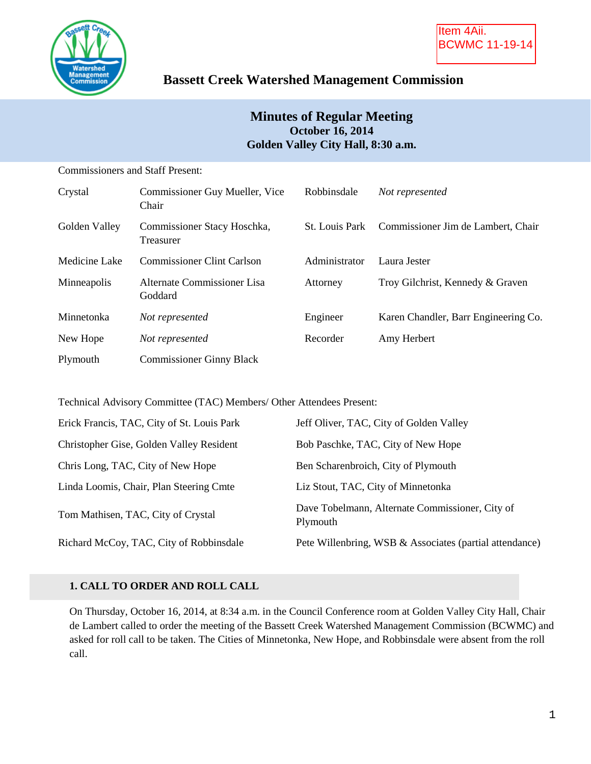

## **Bassett Creek Watershed Management Commission**

## **Minutes of Regular Meeting October 16, 2014 Golden Valley City Hall, 8:30 a.m.**

| <b>Commissioners and Staff Present:</b> |                                          |                       |                                      |
|-----------------------------------------|------------------------------------------|-----------------------|--------------------------------------|
| Crystal                                 | Commissioner Guy Mueller, Vice<br>Chair  | Robbinsdale           | Not represented                      |
| Golden Valley                           | Commissioner Stacy Hoschka,<br>Treasurer | <b>St.</b> Louis Park | Commissioner Jim de Lambert, Chair   |
| Medicine Lake                           | <b>Commissioner Clint Carlson</b>        | Administrator         | Laura Jester                         |
| Minneapolis                             | Alternate Commissioner Lisa<br>Goddard   | Attorney              | Troy Gilchrist, Kennedy & Graven     |
| Minnetonka                              | Not represented                          | Engineer              | Karen Chandler, Barr Engineering Co. |
| New Hope                                | Not represented                          | Recorder              | Amy Herbert                          |
| Plymouth                                | <b>Commissioner Ginny Black</b>          |                       |                                      |

Technical Advisory Committee (TAC) Members/ Other Attendees Present:

| Erick Francis, TAC, City of St. Louis Park | Jeff Oliver, TAC, City of Golden Valley                     |
|--------------------------------------------|-------------------------------------------------------------|
| Christopher Gise, Golden Valley Resident   | Bob Paschke, TAC, City of New Hope                          |
| Chris Long, TAC, City of New Hope          | Ben Scharenbroich, City of Plymouth                         |
| Linda Loomis, Chair, Plan Steering Cmte    | Liz Stout, TAC, City of Minnetonka                          |
| Tom Mathisen, TAC, City of Crystal         | Dave Tobelmann, Alternate Commissioner, City of<br>Plymouth |
| Richard McCoy, TAC, City of Robbinsdale    | Pete Willenbring, WSB & Associates (partial attendance)     |

## **1. CALL TO ORDER AND ROLL CALL**

On Thursday, October 16, 2014, at 8:34 a.m. in the Council Conference room at Golden Valley City Hall, Chair de Lambert called to order the meeting of the Bassett Creek Watershed Management Commission (BCWMC) and asked for roll call to be taken. The Cities of Minnetonka, New Hope, and Robbinsdale were absent from the roll call.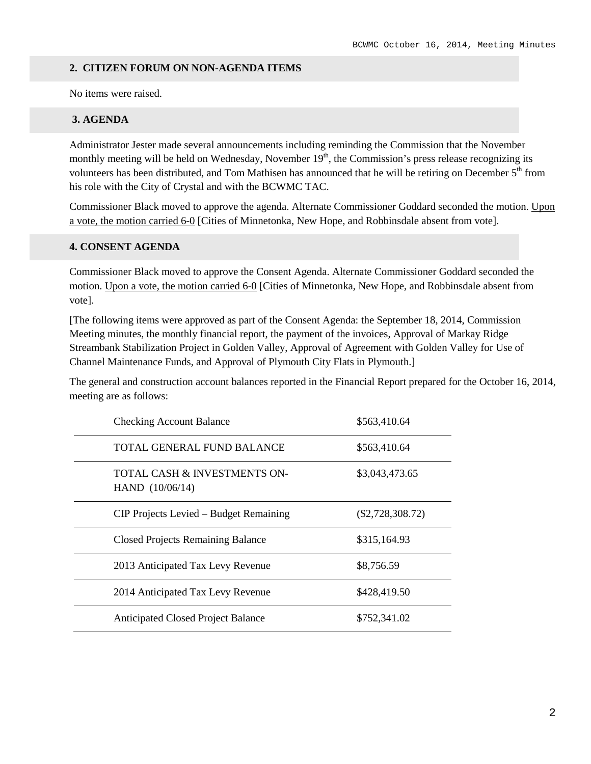#### **2. CITIZEN FORUM ON NON-AGENDA ITEMS**

No items were raised.

#### **3. AGENDA**

Administrator Jester made several announcements including reminding the Commission that the November monthly meeting will be held on Wednesday, November  $19<sup>th</sup>$ , the Commission's press release recognizing its volunteers has been distributed, and Tom Mathisen has announced that he will be retiring on December 5<sup>th</sup> from his role with the City of Crystal and with the BCWMC TAC.

Commissioner Black moved to approve the agenda. Alternate Commissioner Goddard seconded the motion. Upon a vote, the motion carried 6-0 [Cities of Minnetonka, New Hope, and Robbinsdale absent from vote].

#### **4. CONSENT AGENDA**

Commissioner Black moved to approve the Consent Agenda. Alternate Commissioner Goddard seconded the motion. Upon a vote, the motion carried 6-0 [Cities of Minnetonka, New Hope, and Robbinsdale absent from vote].

[The following items were approved as part of the Consent Agenda: the September 18, 2014, Commission Meeting minutes, the monthly financial report, the payment of the invoices, Approval of Markay Ridge Streambank Stabilization Project in Golden Valley, Approval of Agreement with Golden Valley for Use of Channel Maintenance Funds, and Approval of Plymouth City Flats in Plymouth.]

The general and construction account balances reported in the Financial Report prepared for the October 16, 2014, meeting are as follows:

| <b>Checking Account Balance</b>                              | \$563,410.64       |
|--------------------------------------------------------------|--------------------|
| TOTAL GENERAL FUND BALANCE                                   | \$563,410.64       |
| <b>TOTAL CASH &amp; INVESTMENTS ON-</b><br>HAND $(10/06/14)$ | \$3,043,473.65     |
| CIP Projects Levied – Budget Remaining                       | $(\$2,728,308.72)$ |
| <b>Closed Projects Remaining Balance</b>                     | \$315,164.93       |
| 2013 Anticipated Tax Levy Revenue                            | \$8,756.59         |
| 2014 Anticipated Tax Levy Revenue                            | \$428,419.50       |
| <b>Anticipated Closed Project Balance</b>                    | \$752.341.02       |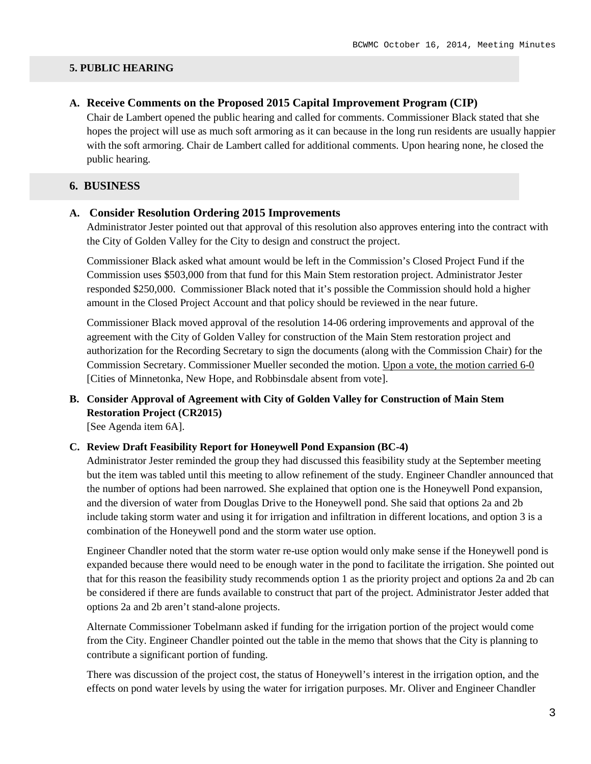#### **5. PUBLIC HEARING**

#### **A. Receive Comments on the Proposed 2015 Capital Improvement Program (CIP)**

Chair de Lambert opened the public hearing and called for comments. Commissioner Black stated that she hopes the project will use as much soft armoring as it can because in the long run residents are usually happier with the soft armoring. Chair de Lambert called for additional comments. Upon hearing none, he closed the public hearing.

#### **6. BUSINESS**

#### **A. Consider Resolution Ordering 2015 Improvements**

Administrator Jester pointed out that approval of this resolution also approves entering into the contract with the City of Golden Valley for the City to design and construct the project.

Commissioner Black asked what amount would be left in the Commission's Closed Project Fund if the Commission uses \$503,000 from that fund for this Main Stem restoration project. Administrator Jester responded \$250,000. Commissioner Black noted that it's possible the Commission should hold a higher amount in the Closed Project Account and that policy should be reviewed in the near future.

Commissioner Black moved approval of the resolution 14-06 ordering improvements and approval of the agreement with the City of Golden Valley for construction of the Main Stem restoration project and authorization for the Recording Secretary to sign the documents (along with the Commission Chair) for the Commission Secretary. Commissioner Mueller seconded the motion. Upon a vote, the motion carried 6-0 [Cities of Minnetonka, New Hope, and Robbinsdale absent from vote].

# **B. Consider Approval of Agreement with City of Golden Valley for Construction of Main Stem Restoration Project (CR2015)**

[See Agenda item 6A].

#### **C. Review Draft Feasibility Report for Honeywell Pond Expansion (BC-4)**

Administrator Jester reminded the group they had discussed this feasibility study at the September meeting but the item was tabled until this meeting to allow refinement of the study. Engineer Chandler announced that the number of options had been narrowed. She explained that option one is the Honeywell Pond expansion, and the diversion of water from Douglas Drive to the Honeywell pond. She said that options 2a and 2b include taking storm water and using it for irrigation and infiltration in different locations, and option 3 is a combination of the Honeywell pond and the storm water use option.

Engineer Chandler noted that the storm water re-use option would only make sense if the Honeywell pond is expanded because there would need to be enough water in the pond to facilitate the irrigation. She pointed out that for this reason the feasibility study recommends option 1 as the priority project and options 2a and 2b can be considered if there are funds available to construct that part of the project. Administrator Jester added that options 2a and 2b aren't stand-alone projects.

Alternate Commissioner Tobelmann asked if funding for the irrigation portion of the project would come from the City. Engineer Chandler pointed out the table in the memo that shows that the City is planning to contribute a significant portion of funding.

There was discussion of the project cost, the status of Honeywell's interest in the irrigation option, and the effects on pond water levels by using the water for irrigation purposes. Mr. Oliver and Engineer Chandler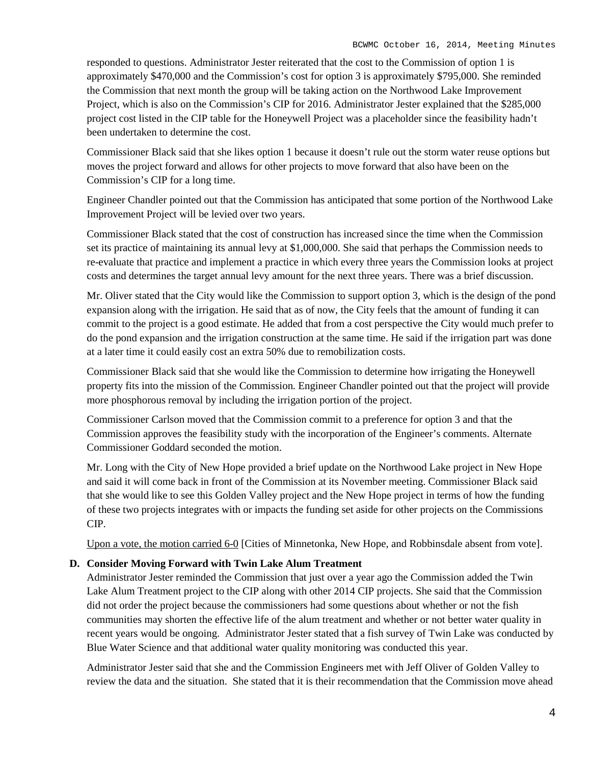responded to questions. Administrator Jester reiterated that the cost to the Commission of option 1 is approximately \$470,000 and the Commission's cost for option 3 is approximately \$795,000. She reminded the Commission that next month the group will be taking action on the Northwood Lake Improvement Project, which is also on the Commission's CIP for 2016. Administrator Jester explained that the \$285,000 project cost listed in the CIP table for the Honeywell Project was a placeholder since the feasibility hadn't been undertaken to determine the cost.

Commissioner Black said that she likes option 1 because it doesn't rule out the storm water reuse options but moves the project forward and allows for other projects to move forward that also have been on the Commission's CIP for a long time.

Engineer Chandler pointed out that the Commission has anticipated that some portion of the Northwood Lake Improvement Project will be levied over two years.

Commissioner Black stated that the cost of construction has increased since the time when the Commission set its practice of maintaining its annual levy at \$1,000,000. She said that perhaps the Commission needs to re-evaluate that practice and implement a practice in which every three years the Commission looks at project costs and determines the target annual levy amount for the next three years. There was a brief discussion.

Mr. Oliver stated that the City would like the Commission to support option 3, which is the design of the pond expansion along with the irrigation. He said that as of now, the City feels that the amount of funding it can commit to the project is a good estimate. He added that from a cost perspective the City would much prefer to do the pond expansion and the irrigation construction at the same time. He said if the irrigation part was done at a later time it could easily cost an extra 50% due to remobilization costs.

Commissioner Black said that she would like the Commission to determine how irrigating the Honeywell property fits into the mission of the Commission. Engineer Chandler pointed out that the project will provide more phosphorous removal by including the irrigation portion of the project.

Commissioner Carlson moved that the Commission commit to a preference for option 3 and that the Commission approves the feasibility study with the incorporation of the Engineer's comments. Alternate Commissioner Goddard seconded the motion.

Mr. Long with the City of New Hope provided a brief update on the Northwood Lake project in New Hope and said it will come back in front of the Commission at its November meeting. Commissioner Black said that she would like to see this Golden Valley project and the New Hope project in terms of how the funding of these two projects integrates with or impacts the funding set aside for other projects on the Commissions CIP.

Upon a vote, the motion carried 6-0 [Cities of Minnetonka, New Hope, and Robbinsdale absent from vote].

#### **D. Consider Moving Forward with Twin Lake Alum Treatment**

Administrator Jester reminded the Commission that just over a year ago the Commission added the Twin Lake Alum Treatment project to the CIP along with other 2014 CIP projects. She said that the Commission did not order the project because the commissioners had some questions about whether or not the fish communities may shorten the effective life of the alum treatment and whether or not better water quality in recent years would be ongoing. Administrator Jester stated that a fish survey of Twin Lake was conducted by Blue Water Science and that additional water quality monitoring was conducted this year.

Administrator Jester said that she and the Commission Engineers met with Jeff Oliver of Golden Valley to review the data and the situation. She stated that it is their recommendation that the Commission move ahead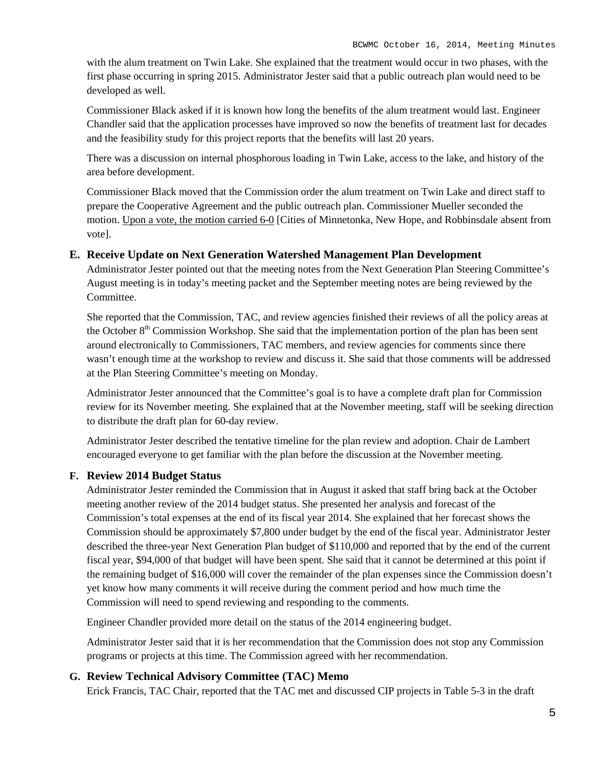with the alum treatment on Twin Lake. She explained that the treatment would occur in two phases, with the first phase occurring in spring 2015. Administrator Jester said that a public outreach plan would need to be developed as well.

Commissioner Black asked if it is known how long the benefits of the alum treatment would last. Engineer Chandler said that the application processes have improved so now the benefits of treatment last for decades and the feasibility study for this project reports that the benefits will last 20 years.

There was a discussion on internal phosphorous loading in Twin Lake, access to the lake, and history of the area before development.

Commissioner Black moved that the Commission order the alum treatment on Twin Lake and direct staff to prepare the Cooperative Agreement and the public outreach plan. Commissioner Mueller seconded the motion. Upon a vote, the motion carried 6-0 [Cities of Minnetonka, New Hope, and Robbinsdale absent from vote].

#### **E. Receive Update on Next Generation Watershed Management Plan Development**

Administrator Jester pointed out that the meeting notes from the Next Generation Plan Steering Committee's August meeting is in today's meeting packet and the September meeting notes are being reviewed by the Committee.

She reported that the Commission, TAC, and review agencies finished their reviews of all the policy areas at the October  $8<sup>th</sup>$  Commission Workshop. She said that the implementation portion of the plan has been sent around electronically to Commissioners, TAC members, and review agencies for comments since there wasn't enough time at the workshop to review and discuss it. She said that those comments will be addressed at the Plan Steering Committee's meeting on Monday.

Administrator Jester announced that the Committee's goal is to have a complete draft plan for Commission review for its November meeting. She explained that at the November meeting, staff will be seeking direction to distribute the draft plan for 60-day review.

Administrator Jester described the tentative timeline for the plan review and adoption. Chair de Lambert encouraged everyone to get familiar with the plan before the discussion at the November meeting.

#### **F. Review 2014 Budget Status**

Administrator Jester reminded the Commission that in August it asked that staff bring back at the October meeting another review of the 2014 budget status. She presented her analysis and forecast of the Commission's total expenses at the end of its fiscal year 2014. She explained that her forecast shows the Commission should be approximately \$7,800 under budget by the end of the fiscal year. Administrator Jester described the three-year Next Generation Plan budget of \$110,000 and reported that by the end of the current fiscal year, \$94,000 of that budget will have been spent. She said that it cannot be determined at this point if the remaining budget of \$16,000 will cover the remainder of the plan expenses since the Commission doesn't yet know how many comments it will receive during the comment period and how much time the Commission will need to spend reviewing and responding to the comments.

Engineer Chandler provided more detail on the status of the 2014 engineering budget.

Administrator Jester said that it is her recommendation that the Commission does not stop any Commission programs or projects at this time. The Commission agreed with her recommendation.

## **G. Review Technical Advisory Committee (TAC) Memo**

Erick Francis, TAC Chair, reported that the TAC met and discussed CIP projects in Table 5-3 in the draft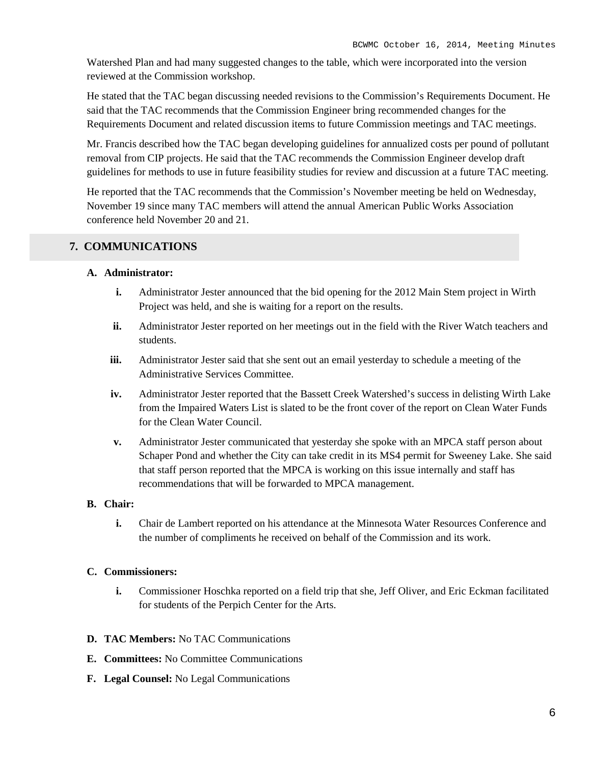Watershed Plan and had many suggested changes to the table, which were incorporated into the version reviewed at the Commission workshop.

He stated that the TAC began discussing needed revisions to the Commission's Requirements Document. He said that the TAC recommends that the Commission Engineer bring recommended changes for the Requirements Document and related discussion items to future Commission meetings and TAC meetings.

Mr. Francis described how the TAC began developing guidelines for annualized costs per pound of pollutant removal from CIP projects. He said that the TAC recommends the Commission Engineer develop draft guidelines for methods to use in future feasibility studies for review and discussion at a future TAC meeting.

He reported that the TAC recommends that the Commission's November meeting be held on Wednesday, November 19 since many TAC members will attend the annual American Public Works Association conference held November 20 and 21.

#### **7. COMMUNICATIONS**

#### **A. Administrator:**

- **i.** Administrator Jester announced that the bid opening for the 2012 Main Stem project in Wirth Project was held, and she is waiting for a report on the results.
- **ii.** Administrator Jester reported on her meetings out in the field with the River Watch teachers and students.
- **iii.** Administrator Jester said that she sent out an email yesterday to schedule a meeting of the Administrative Services Committee.
- **iv.** Administrator Jester reported that the Bassett Creek Watershed's success in delisting Wirth Lake from the Impaired Waters List is slated to be the front cover of the report on Clean Water Funds for the Clean Water Council.
- **v.** Administrator Jester communicated that yesterday she spoke with an MPCA staff person about Schaper Pond and whether the City can take credit in its MS4 permit for Sweeney Lake. She said that staff person reported that the MPCA is working on this issue internally and staff has recommendations that will be forwarded to MPCA management.

#### **B. Chair:**

**i.** Chair de Lambert reported on his attendance at the Minnesota Water Resources Conference and the number of compliments he received on behalf of the Commission and its work.

#### **C. Commissioners:**

- **i.** Commissioner Hoschka reported on a field trip that she, Jeff Oliver, and Eric Eckman facilitated for students of the Perpich Center for the Arts.
- **D. TAC Members:** No TAC Communications
- **E. Committees:** No Committee Communications
- **F. Legal Counsel:** No Legal Communications